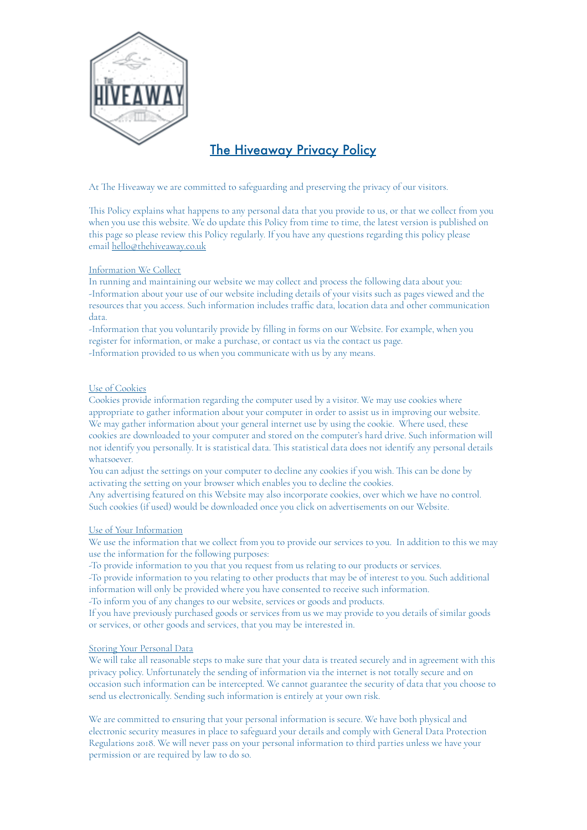

# The Hiveaway Privacy Policy

At The Hiveaway we are committed to safeguarding and preserving the privacy of our visitors.

Tis Policy explains what happens to any personal data that you provide to us, or that we collect from you when you use this website. We do update this Policy from time to time, the latest version is published on this page so please review this Policy regularly. If you have any questions regarding this policy please email [hello@thehiveaway.co.uk](mailto:hello@thehiveaway.co.uk)

## Information We Collect

In running and maintaining our website we may collect and process the following data about you: -Information about your use of our website including details of your visits such as pages viewed and the resources that you access. Such information includes traffic data, location data and other communication data.

-Information that you voluntarily provide by filling in forms on our Website. For example, when you register for information, or make a purchase, or contact us via the contact us page. -Information provided to us when you communicate with us by any means.

### Use of Cookies

Cookies provide information regarding the computer used by a visitor. We may use cookies where appropriate to gather information about your computer in order to assist us in improving our website. We may gather information about your general internet use by using the cookie. Where used, these cookies are downloaded to your computer and stored on the computer's hard drive. Such information will not identify you personally. It is statistical data. Tis statistical data does not identify any personal details whatsoever.

You can adjust the settings on your computer to decline any cookies if you wish. This can be done by activating the setting on your browser which enables you to decline the cookies.

Any advertising featured on this Website may also incorporate cookies, over which we have no control. Such cookies (if used) would be downloaded once you click on advertisements on our Website.

### Use of Your Information

We use the information that we collect from you to provide our services to you. In addition to this we may use the information for the following purposes:

-To provide information to you that you request from us relating to our products or services.

-To provide information to you relating to other products that may be of interest to you. Such additional information will only be provided where you have consented to receive such information.

-To inform you of any changes to our website, services or goods and products.

If you have previously purchased goods or services from us we may provide to you details of similar goods or services, or other goods and services, that you may be interested in.

### Storing Your Personal Data

We will take all reasonable steps to make sure that your data is treated securely and in agreement with this privacy policy. Unfortunately the sending of information via the internet is not totally secure and on occasion such information can be intercepted. We cannot guarantee the security of data that you choose to send us electronically. Sending such information is entirely at your own risk.

We are committed to ensuring that your personal information is secure. We have both physical and electronic security measures in place to safeguard your details and comply with General Data Protection Regulations 2018. We will never pass on your personal information to third parties unless we have your permission or are required by law to do so.